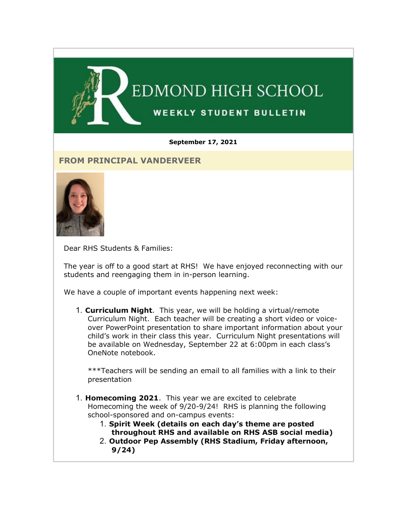

#### **September 17, 2021**

### **FROM PRINCIPAL VANDERVEER**



Dear RHS Students & Families:

The year is off to a good start at RHS! We have enjoyed reconnecting with our students and reengaging them in in-person learning.

We have a couple of important events happening next week:

1. **Curriculum Night**. This year, we will be holding a virtual/remote Curriculum Night. Each teacher will be creating a short video or voiceover PowerPoint presentation to share important information about your child's work in their class this year. Curriculum Night presentations will be available on Wednesday, September 22 at 6:00pm in each class's OneNote notebook.

\*\*\*Teachers will be sending an email to all families with a link to their presentation

- 1. **Homecoming 2021**. This year we are excited to celebrate Homecoming the week of 9/20-9/24! RHS is planning the following school-sponsored and on-campus events:
	- 1. **Spirit Week (details on each day's theme are posted throughout RHS and available on RHS ASB social media)**
	- 2. **Outdoor Pep Assembly (RHS Stadium, Friday afternoon, 9/24)**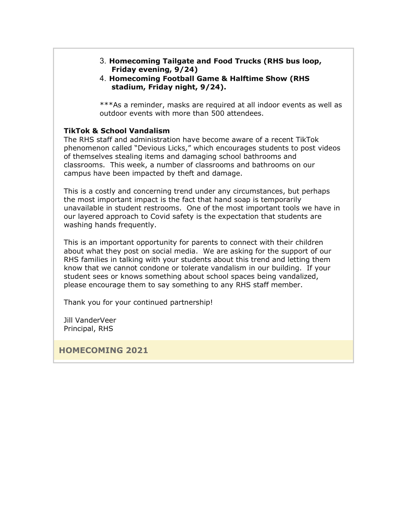- 3. **Homecoming Tailgate and Food Trucks (RHS bus loop, Friday evening, 9/24)**
- 4. **Homecoming Football Game & Halftime Show (RHS stadium, Friday night, 9/24).**

\*\*\*As a reminder, masks are required at all indoor events as well as outdoor events with more than 500 attendees.

#### **TikTok & School Vandalism**

The RHS staff and administration have become aware of a recent TikTok phenomenon called "Devious Licks," which encourages students to post videos of themselves stealing items and damaging school bathrooms and classrooms. This week, a number of classrooms and bathrooms on our campus have been impacted by theft and damage.

This is a costly and concerning trend under any circumstances, but perhaps the most important impact is the fact that hand soap is temporarily unavailable in student restrooms. One of the most important tools we have in our layered approach to Covid safety is the expectation that students are washing hands frequently.

This is an important opportunity for parents to connect with their children about what they post on social media. We are asking for the support of our RHS families in talking with your students about this trend and letting them know that we cannot condone or tolerate vandalism in our building. If your student sees or knows something about school spaces being vandalized, please encourage them to say something to any RHS staff member.

Thank you for your continued partnership!

Jill VanderVeer Principal, RHS

**HOMECOMING 2021**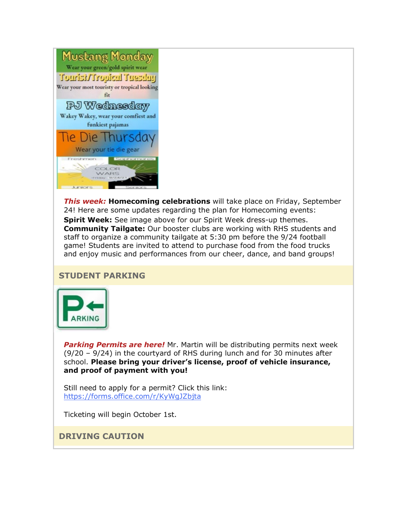

*This week:* **Homecoming celebrations** will take place on Friday, September 24! Here are some updates regarding the plan for Homecoming events: **Spirit Week:** See image above for our Spirit Week dress-up themes. **Community Tailgate:** Our booster clubs are working with RHS students and staff to organize a community tailgate at 5:30 pm before the 9/24 football game! Students are invited to attend to purchase food from the food trucks and enjoy music and performances from our cheer, dance, and band groups!

### **STUDENT PARKING**



*Parking Permits are here!* Mr. Martin will be distributing permits next week (9/20 – 9/24) in the courtyard of RHS during lunch and for 30 minutes after school. **Please bring your driver's license, proof of vehicle insurance, and proof of payment with you!** 

Still need to apply for a permit? Click this link: [https://forms.office.com/r/KyWgJZbjta](https://nam02.safelinks.protection.outlook.com/?url=http%3A%2F%2Flink.email.dynect.net%2Flink.php%3FDynEngagement%3Dtrue%26H%3DbyPkDFxves6EOGDn1peRNeIe02OIJH5CdLqxMLzUeO8xfJUQzDOhsO1bHLttkS3hqpXV6Nsc44yxbPt4syLkKKjFEe3Uvq5fUHM%252BqfjziCxxFz5wHggogA%253D%253D%26G%3D0%26R%3Dhttps%253A%252F%252FSGTXGYZTANA.hatchbuck.com%252FTrackLinkClick%253FID2%253DljsNCD0_s7Ugc3qBzhIVWzkTFugphEq35gpOCf8RMRVtRTRZRpD3QxsXGkiFnzDI0%26I%3D20210917230801.000000000a15%2540mail6-64-ussnn1%26X%3DMHwxMjY0OTIyOjIyMDEyMTM0NDM7MXwxMjY0OTIzOjE3NjIxNDAzNTs%253D%26V%3D3%26S%3DBl37AM2Ubo8y8nTCuLd2ocH4BhicwAuB3Kf2ZIGtgoc&data=04%7C01%7Cmwood%40lwsd.org%7C669adc853f8e4d896eec08d97a2fffde%7C1fd4673fdf9646218638a1d88c4c85d7%7C0%7C0%7C637675168848052606%7CUnknown%7CTWFpbGZsb3d8eyJWIjoiMC4wLjAwMDAiLCJQIjoiV2luMzIiLCJBTiI6Ik1haWwiLCJXVCI6Mn0%3D%7C1000&sdata=SigbFEtgwUVDyq96OUAzazf29iFHyTTZ0OUy8drcj3I%3D&reserved=0)

Ticketing will begin October 1st.

# **DRIVING CAUTION**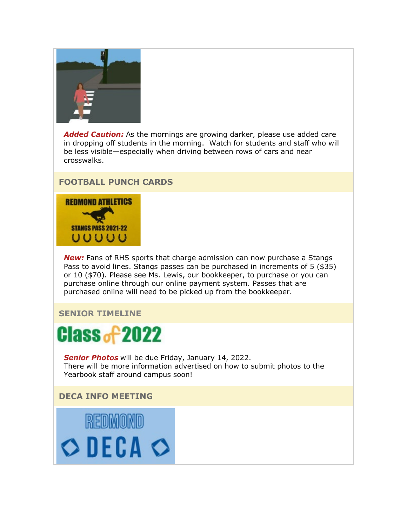

*Added Caution:* As the mornings are growing darker, please use added care in dropping off students in the morning. Watch for students and staff who will be less visible—especially when driving between rows of cars and near crosswalks.

# **FOOTBALL PUNCH CARDS**



*New:* Fans of RHS sports that charge admission can now purchase a Stangs Pass to avoid lines. Stangs passes can be purchased in increments of 5 (\$35) or 10 (\$70). Please see Ms. Lewis, our bookkeeper, to purchase or you can purchase online through our online payment system. Passes that are purchased online will need to be picked up from the bookkeeper.

### **SENIOR TIMELINE**



*Senior Photos* will be due Friday, January 14, 2022. There will be more information advertised on how to submit photos to the Yearbook staff around campus soon!

# **DECA INFO MEETING**

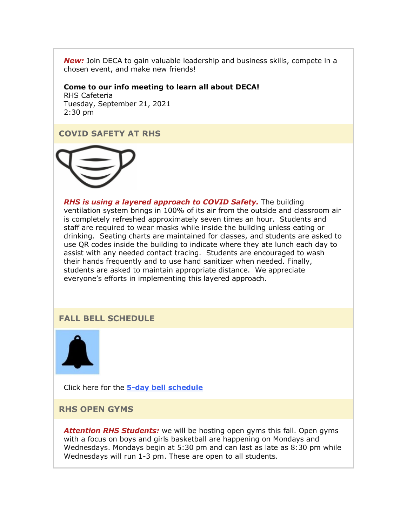*New:* Join DECA to gain valuable leadership and business skills, compete in a chosen event, and make new friends!

**Come to our info meeting to learn all about DECA!** RHS Cafeteria Tuesday, September 21, 2021

2:30 pm

## **COVID SAFETY AT RHS**



*RHS is using a layered approach to COVID Safety.* The building ventilation system brings in 100% of its air from the outside and classroom air is completely refreshed approximately seven times an hour. Students and staff are required to wear masks while inside the building unless eating or drinking. Seating charts are maintained for classes, and students are asked to use QR codes inside the building to indicate where they ate lunch each day to assist with any needed contact tracing. Students are encouraged to wash their hands frequently and to use hand sanitizer when needed. Finally, students are asked to maintain appropriate distance. We appreciate everyone's efforts in implementing this layered approach.

# **FALL BELL SCHEDULE**



Click here for the **[5-day bell schedule](https://nam02.safelinks.protection.outlook.com/?url=http%3A%2F%2Flink.email.dynect.net%2Flink.php%3FDynEngagement%3Dtrue%26H%3DbyPkDFxves6EOGDn1peRNeIe02OIJH5CdLqxMLzUeO8xfJUQzDOhsO1bHLttkS3hqpXV6Nsc44yxbPt4syLkKKjFEe3Uvq5fUHM%252BqfjziCxxFz5wHggogA%253D%253D%26G%3D0%26R%3Dhttps%253A%252F%252FSGTXGYZTANA.hatchbuck.com%252FTrackLinkClick%253FID2%253DuRX9JEMmvlb2i3-zkxEYrjh1fwlJYQDA4GhbPWpMqkntqua_sFhBGu1vY-4ncMxo0%26I%3D20210917230801.000000000a15%2540mail6-64-ussnn1%26X%3DMHwxMjY0OTIyOjIyMDEyMTM0NDM7MXwxMjY0OTIzOjE3NjIxNDAzNTs%253D%26V%3D3%26S%3DYZc7zxTYPwkC6Wzn2RBqf51YHomCYK7qYzWA71ViHYc&data=04%7C01%7Cmwood%40lwsd.org%7C669adc853f8e4d896eec08d97a2fffde%7C1fd4673fdf9646218638a1d88c4c85d7%7C0%7C0%7C637675168848062605%7CUnknown%7CTWFpbGZsb3d8eyJWIjoiMC4wLjAwMDAiLCJQIjoiV2luMzIiLCJBTiI6Ik1haWwiLCJXVCI6Mn0%3D%7C1000&sdata=NbfT40gqK0odZwsfNLCzUM6eQsmf2KmceIL4LuVkMKU%3D&reserved=0)**

**RHS OPEN GYMS**

*Attention RHS Students:* we will be hosting open gyms this fall. Open gyms with a focus on boys and girls basketball are happening on Mondays and Wednesdays. Mondays begin at 5:30 pm and can last as late as 8:30 pm while Wednesdays will run 1-3 pm. These are open to all students.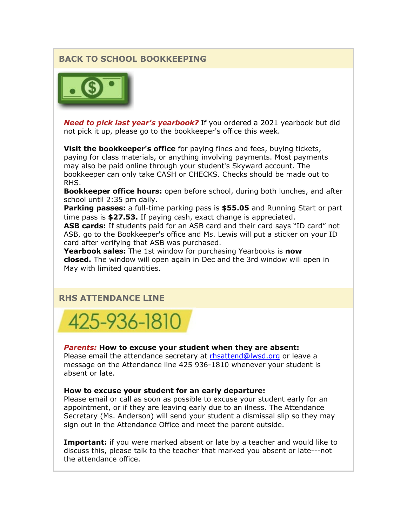# **BACK TO SCHOOL BOOKKEEPING**



*Need to pick last year's yearbook?* If you ordered a 2021 yearbook but did not pick it up, please go to the bookkeeper's office this week.

**Visit the bookkeeper's office** for paying fines and fees, buying tickets, paying for class materials, or anything involving payments. Most payments may also be paid online through your student's Skyward account. The bookkeeper can only take CASH or CHECKS. Checks should be made out to RHS.

**Bookkeeper office hours:** open before school, during both lunches, and after school until 2:35 pm daily.

**Parking passes:** a full-time parking pass is **\$55.05** and Running Start or part time pass is **\$27.53.** If paying cash, exact change is appreciated.

**ASB cards:** If students paid for an ASB card and their card says "ID card" not ASB, go to the Bookkeeper's office and Ms. Lewis will put a sticker on your ID card after verifying that ASB was purchased.

**Yearbook sales:** The 1st window for purchasing Yearbooks is **now closed.** The window will open again in Dec and the 3rd window will open in May with limited quantities.

### **RHS ATTENDANCE LINE**



#### *Parents:* **How to excuse your student when they are absent:**

Please email the attendance secretary at [rhsattend@lwsd.org](mailto:rhsattend@lwsd.org) or leave a message on the Attendance line 425 936-1810 whenever your student is absent or late.

#### **How to excuse your student for an early departure:**

Please email or call as soon as possible to excuse your student early for an appointment, or if they are leaving early due to an ilness. The Attendance Secretary (Ms. Anderson) will send your student a dismissal slip so they may sign out in the Attendance Office and meet the parent outside.

**Important:** if you were marked absent or late by a teacher and would like to discuss this, please talk to the teacher that marked you absent or late---not the attendance office.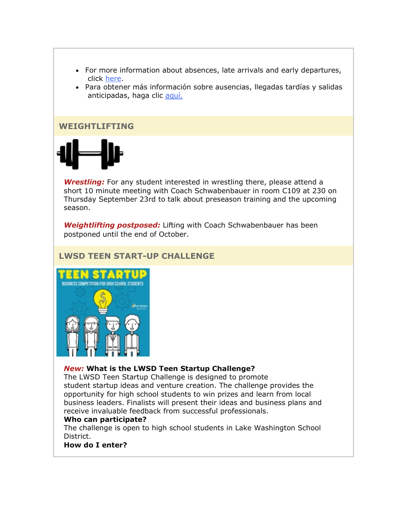- For more information about absences, late arrivals and early departures, click [here.](https://nam02.safelinks.protection.outlook.com/?url=http%3A%2F%2Flink.email.dynect.net%2Flink.php%3FDynEngagement%3Dtrue%26H%3DbyPkDFxves6EOGDn1peRNeIe02OIJH5CdLqxMLzUeO8xfJUQzDOhsO1bHLttkS3hqpXV6Nsc44yxbPt4syLkKKjFEe3Uvq5fUHM%252BqfjziCxxFz5wHggogA%253D%253D%26G%3D0%26R%3Dhttps%253A%252F%252FSGTXGYZTANA.hatchbuck.com%252FTrackLinkClick%253FID2%253DhQuRhU9VfDbJt1-oeC-h6VGDMLvL_k8C1TUWu1zqNq2Qb3gOHGOGo6vxMrSkpcS90%26I%3D20210917230801.000000000a15%2540mail6-64-ussnn1%26X%3DMHwxMjY0OTIyOjIyMDEyMTM0NDM7MXwxMjY0OTIzOjE3NjIxNDAzNTs%253D%26V%3D3%26S%3DXX6zHc1SYXyxB6hj3hiiNgP-eEzMgYxMEqM1UHj3xs4&data=04%7C01%7Cmwood%40lwsd.org%7C669adc853f8e4d896eec08d97a2fffde%7C1fd4673fdf9646218638a1d88c4c85d7%7C0%7C0%7C637675168848062605%7CUnknown%7CTWFpbGZsb3d8eyJWIjoiMC4wLjAwMDAiLCJQIjoiV2luMzIiLCJBTiI6Ik1haWwiLCJXVCI6Mn0%3D%7C1000&sdata=MVo%2FH2SJiRD0d73IL7q8kdB8LH7xBi2Cp5urhNaoA38%3D&reserved=0)
- Para obtener más información sobre ausencias, llegadas tardías y salidas anticipadas, haga clic [aquí.](https://nam02.safelinks.protection.outlook.com/?url=http%3A%2F%2Flink.email.dynect.net%2Flink.php%3FDynEngagement%3Dtrue%26H%3DbyPkDFxves6EOGDn1peRNeIe02OIJH5CdLqxMLzUeO8xfJUQzDOhsO1bHLttkS3hqpXV6Nsc44yxbPt4syLkKKjFEe3Uvq5fUHM%252BqfjziCxxFz5wHggogA%253D%253D%26G%3D0%26R%3Dhttps%253A%252F%252FSGTXGYZTANA.hatchbuck.com%252FTrackLinkClick%253FID2%253DwjFovAIuZ9WtcSU30oR1f-8aKqQlm6HpwB-LnWB9tq3RVaGZRKmdOK133pS8RA9O0%26I%3D20210917230801.000000000a15%2540mail6-64-ussnn1%26X%3DMHwxMjY0OTIyOjIyMDEyMTM0NDM7MXwxMjY0OTIzOjE3NjIxNDAzNTs%253D%26V%3D3%26S%3D0TgOkz1JoMrB1pX5SiPlXTEQqnQrbsJ32N-ispP4Jp0&data=04%7C01%7Cmwood%40lwsd.org%7C669adc853f8e4d896eec08d97a2fffde%7C1fd4673fdf9646218638a1d88c4c85d7%7C0%7C0%7C637675168848072596%7CUnknown%7CTWFpbGZsb3d8eyJWIjoiMC4wLjAwMDAiLCJQIjoiV2luMzIiLCJBTiI6Ik1haWwiLCJXVCI6Mn0%3D%7C1000&sdata=x%2B4HHcfrdOy3Qkj5L8rZZ1PNYn5zL458lXU8gTl9%2FTk%3D&reserved=0)

#### **WEIGHTLIFTING**



**Wrestling:** For any student interested in wrestling there, please attend a short 10 minute meeting with Coach Schwabenbauer in room C109 at 230 on Thursday September 23rd to talk about preseason training and the upcoming season.

*Weightlifting postposed:* Lifting with Coach Schwabenbauer has been postponed until the end of October.

# **LWSD TEEN START-UP CHALLENGE**



#### *New:* **What is the LWSD Teen Startup Challenge?**

The LWSD Teen Startup Challenge is designed to promote student startup ideas and venture creation. The challenge provides the opportunity for high school students to win prizes and learn from local business leaders. Finalists will present their ideas and business plans and receive invaluable feedback from successful professionals.

#### **Who can participate?**

The challenge is open to high school students in Lake Washington School District.

**How do I enter?**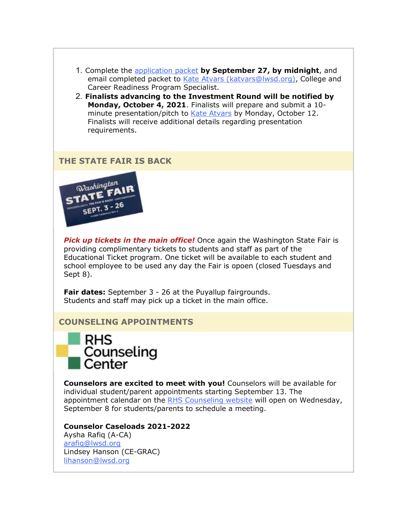- 1. Complete the [application packet](https://nam02.safelinks.protection.outlook.com/?url=http%3A%2F%2Flink.email.dynect.net%2Flink.php%3FDynEngagement%3Dtrue%26H%3DbyPkDFxves6EOGDn1peRNeIe02OIJH5CdLqxMLzUeO8xfJUQzDOhsO1bHLttkS3hqpXV6Nsc44yxbPt4syLkKKjFEe3Uvq5fUHM%252BqfjziCxxFz5wHggogA%253D%253D%26G%3D0%26R%3Dhttps%253A%252F%252FSGTXGYZTANA.hatchbuck.com%252FTrackLinkClick%253FID2%253DAaHZSiqR-hA5gToPzvxugtJcL0o0MlthR83pun6Hup9cuhMKkgHIxU48aL7DMewg0%26I%3D20210917230801.000000000a15%2540mail6-64-ussnn1%26X%3DMHwxMjY0OTIyOjIyMDEyMTM0NDM7MXwxMjY0OTIzOjE3NjIxNDAzNTs%253D%26V%3D3%26S%3DSiqLmW3ReLT3-qL_5406_DCNRhWLOawX5rtGHSyJ-tY&data=04%7C01%7Cmwood%40lwsd.org%7C669adc853f8e4d896eec08d97a2fffde%7C1fd4673fdf9646218638a1d88c4c85d7%7C0%7C0%7C637675168848082590%7CUnknown%7CTWFpbGZsb3d8eyJWIjoiMC4wLjAwMDAiLCJQIjoiV2luMzIiLCJBTiI6Ik1haWwiLCJXVCI6Mn0%3D%7C1000&sdata=pJ2dhNquN3HIA5NcpstDEMcg%2FrzihHRo1p%2FqKHrUgY0%3D&reserved=0) **by September 27, by midnight**, and email completed packet to [Kate Atvars \(katvars@lwsd.org\),](mailto:katvars@lwsd.org) College and Career Readiness Program Specialist.
- 2. **Finalists advancing to the Investment Round will be notified by Monday, October 4, 2021**. Finalists will prepare and submit a 10- minute presentation/pitch to [Kate Atvars](mailto:katvars@lwsd.org) by Monday, October 12. Finalists will receive additional details regarding presentation requirements.

## **THE STATE FAIR IS BACK**



*Pick up tickets in the main office!* Once again the Washington State Fair is providing complimentary tickets to students and staff as part of the Educational Ticket program. One ticket will be available to each student and school employee to be used any day the Fair is opoen (closed Tuesdays and Sept 8).

**Fair dates:** September 3 - 26 at the Puyallup fairgrounds. Students and staff may pick up a ticket in the main office.

## **COUNSELING APPOINTMENTS**



**Counselors are excited to meet with you!** Counselors will be available for individual student/parent appointments starting September 13. The appointment calendar on the [RHS Counseling website](https://nam02.safelinks.protection.outlook.com/?url=http%3A%2F%2Flink.email.dynect.net%2Flink.php%3FDynEngagement%3Dtrue%26H%3DbyPkDFxves6EOGDn1peRNeIe02OIJH5CdLqxMLzUeO8xfJUQzDOhsO1bHLttkS3hqpXV6Nsc44yxbPt4syLkKKjFEe3Uvq5fUHM%252BqfjziCxxFz5wHggogA%253D%253D%26G%3D0%26R%3Dhttps%253A%252F%252FSGTXGYZTANA.hatchbuck.com%252FTrackLinkClick%253FID2%253DCrfL92kNwNAje5qwuAwrhNt1OMglGZ91IoHcrhvpQ6QlaJ-V1asHmoaJGemNWCXG0%26I%3D20210917230801.000000000a15%2540mail6-64-ussnn1%26X%3DMHwxMjY0OTIyOjIyMDEyMTM0NDM7MXwxMjY0OTIzOjE3NjIxNDAzNTs%253D%26V%3D3%26S%3DGZ1xsCu3Uia-9GfyXEdM5QUqa39-gGXyVwx_-FEXlvA&data=04%7C01%7Cmwood%40lwsd.org%7C669adc853f8e4d896eec08d97a2fffde%7C1fd4673fdf9646218638a1d88c4c85d7%7C0%7C0%7C637675168848082590%7CUnknown%7CTWFpbGZsb3d8eyJWIjoiMC4wLjAwMDAiLCJQIjoiV2luMzIiLCJBTiI6Ik1haWwiLCJXVCI6Mn0%3D%7C1000&sdata=mHYRsRvhARabFZ%2BrayjJgsaNjQAa88q4xfO5fYii3HM%3D&reserved=0) will open on Wednesday, September 8 for students/parents to schedule a meeting.

#### **Counselor Caseloads 2021-2022**

Aysha Rafiq (A-CA) [arafiq@lwsd.org](mailto:arafiq@lwsd.org) Lindsey Hanson (CE-GRAC) [lihanson@lwsd.org](mailto:lihanson@lwsd.org)